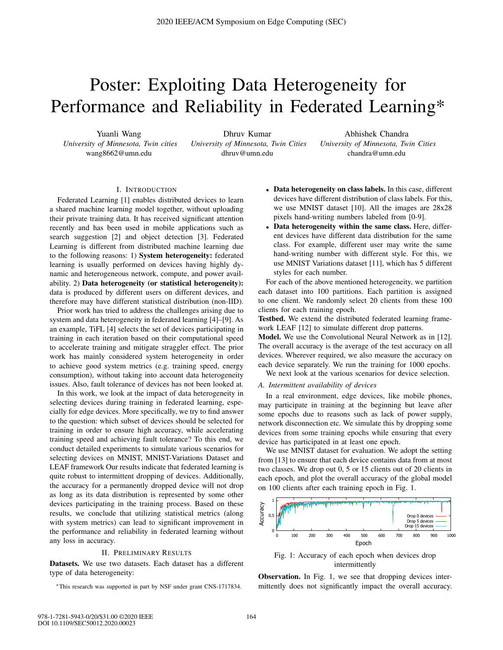# Poster: Exploiting Data Heterogeneity for Performance and Reliability in Federated Learning\*

Yuanli Wang *University of Minnesota, Twin cities* wang8662@umn.edu

Dhruv Kumar *University of Minnesota, Twin Cities* dhruv@umn.edu

Abhishek Chandra *University of Minnesota, Twin Cities* chandra@umn.edu

# I. INTRODUCTION

Federated Learning [1] enables distributed devices to learn a shared machine learning model together, without uploading their private training data. It has received significant attention recently and has been used in mobile applications such as search suggestion [2] and object detection [3]. Federated Learning is different from distributed machine learning due to the following reasons: 1) System heterogeneity: federated learning is usually performed on devices having highly dynamic and heterogeneous network, compute, and power availability. 2) Data heterogeneity (or statistical heterogeneity): data is produced by different users on different devices, and therefore may have different statistical distribution (non-IID).

Prior work has tried to address the challenges arising due to system and data heterogeneity in federated learning [4]–[9]. As an example, TiFL [4] selects the set of devices participating in training in each iteration based on their computational speed to accelerate training and mitigate straggler effect. The prior work has mainly considered system heterogeneity in order to achieve good system metrics (e.g. training speed, energy consumption), without taking into account data heterogeneity issues. Also, fault tolerance of devices has not been looked at.

In this work, we look at the impact of data heterogeneity in selecting devices during training in federated learning, especially for edge devices. More specifically, we try to find answer to the question: which subset of devices should be selected for training in order to ensure high accuracy, while accelerating training speed and achieving fault tolerance? To this end, we conduct detailed experiments to simulate various scenarios for selecting devices on MNIST, MNIST-Variations Dataset and LEAF framework Our results indicate that federated learning is quite robust to intermittent dropping of devices. Additionally, the accuracy for a permanently dropped device will not drop as long as its data distribution is represented by some other devices participating in the training process. Based on these results, we conclude that utilizing statistical metrics (along with system metrics) can lead to significant improvement in the performance and reliability in federated learning without any loss in accuracy.

#### II. PRELIMINARY RESULTS

Datasets. We use two datasets. Each dataset has a different type of data heterogeneity:

∗This research was supported in part by NSF under grant CNS-1717834.

- Data heterogeneity on class labels. In this case, different devices have different distribution of class labels. For this, we use MNIST dataset [10]. All the images are 28x28 pixels hand-writing numbers labeled from [0-9].
- Data heterogeneity within the same class. Here, different devices have different data distribution for the same class. For example, different user may write the same hand-writing number with different style. For this, we use MNIST Variations dataset [11], which has 5 different styles for each number.

For each of the above mentioned heterogeneity, we partition each dataset into 100 partitions. Each partition is assigned to one client. We randomly select 20 clients from these 100 clients for each training epoch.

Testbed. We extend the distributed federated learning framework LEAF [12] to simulate different drop patterns.

Model. We use the Convolutional Neural Network as in [12]. The overall accuracy is the average of the test accuracy on all devices. Wherever required, we also measure the accuracy on each device separately. We run the training for 1000 epochs.

We next look at the various scenarios for device selection.

### *A. Intermittent availability of devices*

In a real environment, edge devices, like mobile phones, may participate in training at the beginning but leave after some epochs due to reasons such as lack of power supply, network disconnection etc. We simulate this by dropping some devices from some training epochs while ensuring that every device has participated in at least one epoch.

We use MNIST dataset for evaluation. We adopt the setting from [13] to ensure that each device contains data from at most two classes. We drop out 0, 5 or 15 clients out of 20 clients in each epoch, and plot the overall accuracy of the global model on 100 clients after each training epoch in Fig. 1.



Fig. 1: Accuracy of each epoch when devices drop intermittently

Observation. In Fig. 1, we see that dropping devices intermittently does not significantly impact the overall accuracy.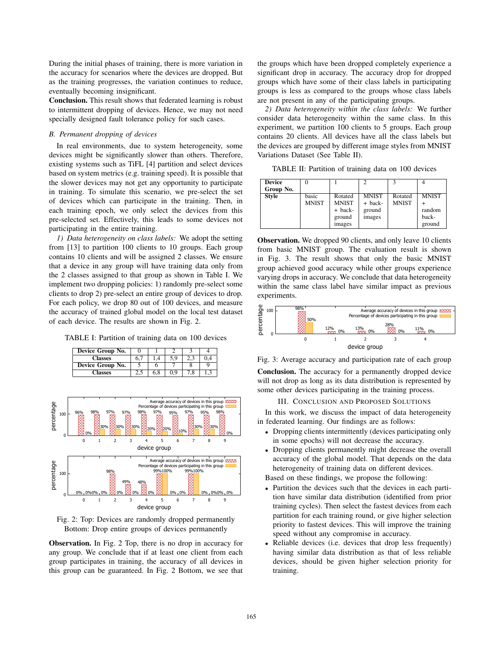During the initial phases of training, there is more variation in the accuracy for scenarios where the devices are dropped. But as the training progresses, the variation continues to reduce, eventually becoming insignificant.

Conclusion. This result shows that federated learning is robust to intermittent dropping of devices. Hence, we may not need specially designed fault tolerance policy for such cases.

# *B. Permanent dropping of devices*

In real environments, due to system heterogeneity, some devices might be significantly slower than others. Therefore, existing systems such as TiFL [4] partition and select devices based on system metrics (e.g. training speed). It is possible that the slower devices may not get any opportunity to participate in training. To simulate this scenario, we pre-select the set of devices which can participate in the training. Then, in each training epoch, we only select the devices from this pre-selected set. Effectively, this leads to some devices not participating in the entire training.

*1) Data heterogeneity on class labels:* We adopt the setting from [13] to partition 100 clients to 10 groups. Each group contains 10 clients and will be assigned 2 classes. We ensure that a device in any group will have training data only from the 2 classes assigned to that group as shown in Table I. We implement two dropping policies: 1) randomly pre-select some clients to drop 2) pre-select an entire group of devices to drop. For each policy, we drop 80 out of 100 devices, and measure the accuracy of trained global model on the local test dataset of each device. The results are shown in Fig. 2.

TABLE I: Partition of training data on 100 devices

| Device Group No. |     |     |     |     |     |
|------------------|-----|-----|-----|-----|-----|
| <b>Classes</b>   | 6.1 | 1.4 | 5.9 |     | 0.4 |
| Device Group No. |     |     |     |     |     |
| <b>Classes</b>   |     | 6.8 | 0.9 | 7.8 | 1,3 |



Fig. 2: Top: Devices are randomly dropped permanently Bottom: Drop entire groups of devices permanently

Observation. In Fig. 2 Top, there is no drop in accuracy for any group. We conclude that if at least one client from each group participates in training, the accuracy of all devices in this group can be guaranteed. In Fig. 2 Bottom, we see that the groups which have been dropped completely experience a significant drop in accuracy. The accuracy drop for dropped groups which have some of their class labels in participating groups is less as compared to the groups whose class labels are not present in any of the participating groups.

*2) Data heterogeneity within the class labels:* We further consider data heterogeneity within the same class. In this experiment, we partition 100 clients to 5 groups. Each group contains 20 clients. All devices have all the class labels but the devices are grouped by different image styles from MNIST Variations Dataset (See Table II).

TABLE II: Partition of training data on 100 devices

| <b>Device</b> |              |              |              |              |              |
|---------------|--------------|--------------|--------------|--------------|--------------|
| Group No.     |              |              |              |              |              |
| <b>Style</b>  | basic        | Rotated      | <b>MNIST</b> | Rotated      | <b>MNIST</b> |
|               | <b>MNIST</b> | <b>MNIST</b> | + back-      | <b>MNIST</b> |              |
|               |              | + back-      | ground       |              | random       |
|               |              | ground       | images       |              | back-        |
|               |              | images       |              |              | ground       |

Observation. We dropped 90 clients, and only leave 10 clients from basic MNIST group. The evaluation result is shown in Fig. 3. The result shows that only the basic MNIST group achieved good accuracy while other groups experience varying drops in accuracy. We conclude that data heterogeneity within the same class label have similar impact as previous experiments.



Fig. 3: Average accuracy and participation rate of each group

Conclusion. The accuracy for a permanently dropped device will not drop as long as its data distribution is represented by some other devices participating in the training process.

III. CONCLUSION AND PROPOSED SOLUTIONS

In this work, we discuss the impact of data heterogeneity in federated learning. Our findings are as follows:

- Dropping clients intermittently (devices participating only in some epochs) will not decrease the accuracy.
- Dropping clients permanently might decrease the overall accuracy of the global model. That depends on the data heterogeneity of training data on different devices.

Based on these findings, we propose the following:

- Partition the devices such that the devices in each partition have similar data distribution (identified from prior training cycles). Then select the fastest devices from each partition for each training round, or give higher selection priority to fastest devices. This will improve the training speed without any compromise in accuracy.
- Reliable devices (i.e. devices that drop less frequently) having similar data distribution as that of less reliable devices, should be given higher selection priority for training.